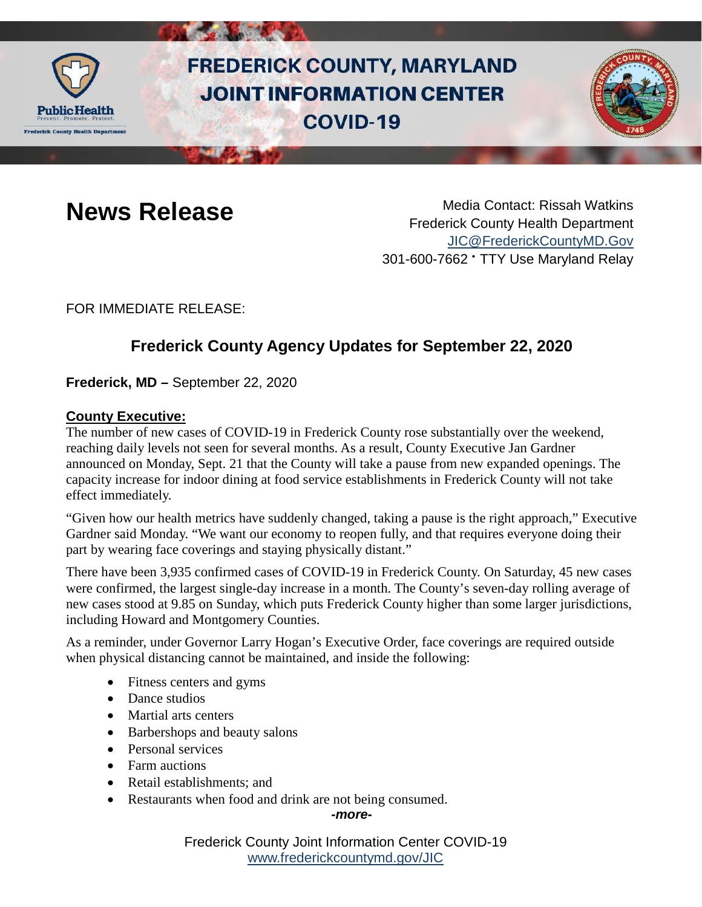

# **FREDERICK COUNTY, MARYLAND JOINT INFORMATION CENTER COVID-19**



**News Release** Media Contact: Rissah Watkins Frederick County Health Department [JIC@FrederickCountyMD.Gov](mailto:JIC@FrederickCountyMD.Gov) 301-600-7662 • TTY Use Maryland Relay

FOR IMMEDIATE RELEASE:

## **Frederick County Agency Updates for September 22, 2020**

**Frederick, MD –** September 22, 2020

#### **County Executive:**

The number of new cases of COVID-19 in Frederick County rose substantially over the weekend, reaching daily levels not seen for several months. As a result, County Executive Jan Gardner announced on Monday, Sept. 21 that the County will take a pause from new expanded openings. The capacity increase for indoor dining at food service establishments in Frederick County will not take effect immediately.

"Given how our health metrics have suddenly changed, taking a pause is the right approach," Executive Gardner said Monday. "We want our economy to reopen fully, and that requires everyone doing their part by wearing face coverings and staying physically distant."

There have been 3,935 confirmed cases of COVID-19 in Frederick County. On Saturday, 45 new cases were confirmed, the largest single-day increase in a month. The County's seven-day rolling average of new cases stood at 9.85 on Sunday, which puts Frederick County higher than some larger jurisdictions, including Howard and Montgomery Counties.

As a reminder, under Governor Larry Hogan's Executive Order, face coverings are required outside when physical distancing cannot be maintained, and inside the following:

- Fitness centers and gyms
- Dance studios
- Martial arts centers
- Barbershops and beauty salons
- Personal services
- Farm auctions
- Retail establishments: and
- Restaurants when food and drink are not being consumed.

*-more-*

Frederick County Joint Information Center COVID-19 [www.frederickcountymd.gov/JIC](https://frederickcountymd.gov/JIC)